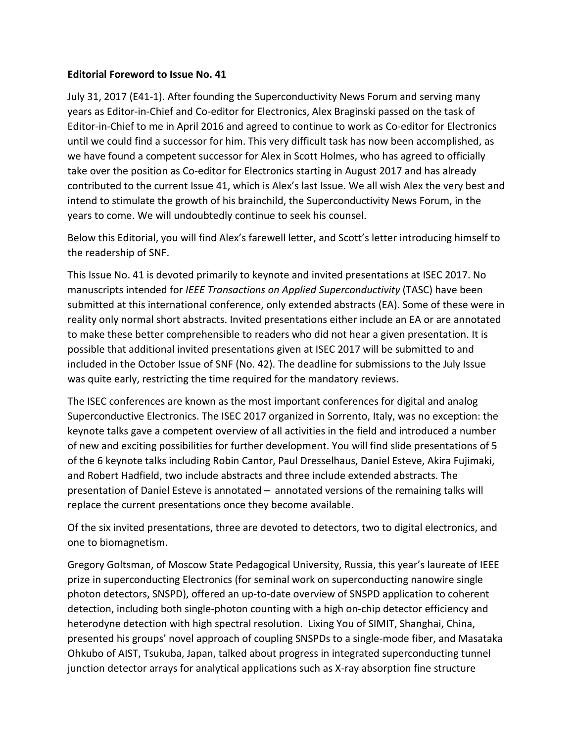## **Editorial Foreword to Issue No. 41**

July 31, 2017 (E41-1). After founding the Superconductivity News Forum and serving many years as Editor-in-Chief and Co-editor for Electronics, Alex Braginski passed on the task of Editor-in-Chief to me in April 2016 and agreed to continue to work as Co-editor for Electronics until we could find a successor for him. This very difficult task has now been accomplished, as we have found a competent successor for Alex in Scott Holmes, who has agreed to officially take over the position as Co-editor for Electronics starting in August 2017 and has already contributed to the current Issue 41, which is Alex's last Issue. We all wish Alex the very best and intend to stimulate the growth of his brainchild, the Superconductivity News Forum, in the years to come. We will undoubtedly continue to seek his counsel.

Below this Editorial, you will find Alex's farewell letter, and Scott's letter introducing himself to the readership of SNF.

This Issue No. 41 is devoted primarily to keynote and invited presentations at ISEC 2017. No manuscripts intended for *IEEE Transactions on Applied Superconductivity* (TASC) have been submitted at this international conference, only extended abstracts (EA). Some of these were in reality only normal short abstracts. Invited presentations either include an EA or are annotated to make these better comprehensible to readers who did not hear a given presentation. It is possible that additional invited presentations given at ISEC 2017 will be submitted to and included in the October Issue of SNF (No. 42). The deadline for submissions to the July Issue was quite early, restricting the time required for the mandatory reviews.

The ISEC conferences are known as the most important conferences for digital and analog Superconductive Electronics. The ISEC 2017 organized in Sorrento, Italy, was no exception: the keynote talks gave a competent overview of all activities in the field and introduced a number of new and exciting possibilities for further development. You will find slide presentations of 5 of the 6 keynote talks including Robin Cantor, Paul Dresselhaus, Daniel Esteve, Akira Fujimaki, and Robert Hadfield, two include abstracts and three include extended abstracts. The presentation of Daniel Esteve is annotated – annotated versions of the remaining talks will replace the current presentations once they become available.

Of the six invited presentations, three are devoted to detectors, two to digital electronics, and one to biomagnetism.

Gregory Goltsman, of Moscow State Pedagogical University, Russia, this year's laureate of IEEE prize in superconducting Electronics (for seminal work on superconducting nanowire single photon detectors, SNSPD), offered an up-to-date overview of SNSPD application to coherent detection, including both single-photon counting with a high on-chip detector efficiency and heterodyne detection with high spectral resolution. Lixing You of SIMIT, Shanghai, China, presented his groups' novel approach of coupling SNSPDs to a single-mode fiber, and Masataka Ohkubo of AIST, Tsukuba, Japan, talked about progress in integrated superconducting tunnel junction detector arrays for analytical applications such as X-ray absorption fine structure